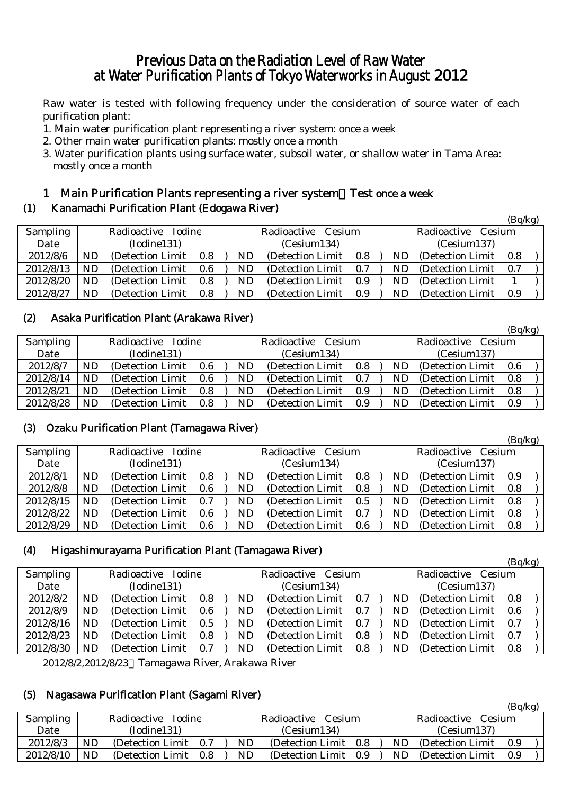## Previous Data on the Radiation Level of Raw Water at Water Purification Plants of Tokyo Waterworks in August 2012

Raw water is tested with following frequency under the consideration of source water of each purification plant:

- 1. Main water purification plant representing a river system: once a week
- 2. Other main water purification plants: mostly once a month
- 3. Water purification plants using surface water, subsoil water, or shallow water in Tama Area: mostly once a month

#### 1 Main Purification Plants representing a river system:Test once a week

#### (1) Kanamachi Purification Plant (Edogawa River)

|           |           |                    |     |  |                            |                       |     |  |                    |                   | (Bq/kg) |  |
|-----------|-----------|--------------------|-----|--|----------------------------|-----------------------|-----|--|--------------------|-------------------|---------|--|
| Sampling  |           | Radioactive Iodine |     |  |                            | Radioactive Cesium    |     |  | Radioactive Cesium |                   |         |  |
| Date      |           | (Iodine131)        |     |  | (Cesium137)<br>(Cesium134) |                       |     |  |                    |                   |         |  |
| 2012/8/6  | ND.       | (Detection Limit)  | 0.8 |  | ND                         | (Detection Limit 0.8) |     |  | ND.                | (Detection Limit) | 0.8     |  |
| 2012/8/13 | ND.       | (Detection Limit)  | 0.6 |  | ND.                        | (Detection Limit)     | 0.7 |  | ND.                | (Detection Limit) | 0.7     |  |
| 2012/8/20 | ND.       | (Detection Limit)  | 0.8 |  | ND                         | (Detection Limit)     | 0.9 |  | ND.                | (Detection Limit) |         |  |
| 2012/8/27 | <b>ND</b> | (Detection Limit)  | 0.8 |  | ND                         | (Detection Limit)     | 0.9 |  | ND.                | (Detection Limit) | 0.9     |  |

#### (2) Asaka Purification Plant (Arakawa River)

|           |    |                    |     |  |             |                    |     |  |     |                    | (Bq/kg) |  |
|-----------|----|--------------------|-----|--|-------------|--------------------|-----|--|-----|--------------------|---------|--|
| Sampling  |    | Radioactive Iodine |     |  |             | Radioactive Cesium |     |  |     | Radioactive Cesium |         |  |
| Date      |    | (Iodine131)        |     |  | (Cesium134) |                    |     |  |     | (Cesium137)        |         |  |
| 2012/8/7  | ND | (Detection Limit)  | 0.6 |  | ND          | (Detection Limit)  | 0.8 |  | ND  | (Detection Limit)  | 0.6     |  |
| 2012/8/14 | ND | (Detection Limit)  | 0.6 |  | ND          | (Detection Limit)  | 0.7 |  | ND  | (Detection Limit)  | 0.8     |  |
| 2012/8/21 | ND | (Detection Limit)  | 0.8 |  | ND          | (Detection Limit)  | 0.9 |  | ND. | (Detection Limit)  | 0.8     |  |
| 2012/8/28 | ND | (Detection Limit)  | 0.8 |  | ND          | (Detection Limit)  | 0.9 |  | ND  | (Detection Limit)  | - 0.9   |  |

#### (3) Ozaku Purification Plant (Tamagawa River)

| $\sim$ $\sim$ |                    |                   |     |  |                    |                   |     |                    |           |                   | (Bq/kg) |  |
|---------------|--------------------|-------------------|-----|--|--------------------|-------------------|-----|--------------------|-----------|-------------------|---------|--|
| Sampling      | Radioactive Iodine |                   |     |  | Radioactive Cesium |                   |     | Radioactive Cesium |           |                   |         |  |
| Date          | (Iodine131)        |                   |     |  | (Cesium134)        |                   |     | (Cesium137)        |           |                   |         |  |
| 2012/8/1      | ND.                | (Detection Limit) | 0.8 |  | ND.                | (Detection Limit) | 0.8 |                    | <b>ND</b> | (Detection Limit) | 0.9     |  |
| 2012/8/8      | ND                 | (Detection Limit) | 0.6 |  | ND                 | (Detection Limit) | 0.8 |                    | <b>ND</b> | (Detection Limit) | 0.8     |  |
| 2012/8/15     | ND                 | (Detection Limit) | 0.7 |  | ND                 | (Detection Limit) | 0.5 |                    | <b>ND</b> | (Detection Limit) | 0.8     |  |
| 2012/8/22     | ND                 | (Detection Limit) | 0.6 |  | ND                 | (Detection Limit) | 0.7 |                    | <b>ND</b> | (Detection Limit) | 0.8     |  |
| 2012/8/29     | ND                 | (Detection Limit) | 0.6 |  | ND                 | (Detection Limit) | 0.6 |                    | <b>ND</b> | (Detection Limit) | 0.8     |  |

#### (4) Higashimurayama Purification Plant (Tamagawa River)

|           |           |                   |     |                                         |             |                   |     |                    |     |                   | (Bq/kg) |                    |
|-----------|-----------|-------------------|-----|-----------------------------------------|-------------|-------------------|-----|--------------------|-----|-------------------|---------|--------------------|
| Sampling  |           |                   |     |                                         |             |                   |     |                    |     |                   |         |                    |
| Date      |           | (Iodine131)       |     |                                         | (Cesium134) |                   |     |                    |     | (Cesium137)       |         |                    |
| 2012/8/2  | <b>ND</b> | (Detection Limit) |     |                                         | <b>ND</b>   | (Detection Limit) | 0.7 |                    | ND  | (Detection Limit) | 0.8     |                    |
| 2012/8/9  | <b>ND</b> | (Detection Limit) |     |                                         | <b>ND</b>   | (Detection Limit) | 0.7 |                    | ND. | (Detection Limit) | 0.6     |                    |
| 2012/8/16 | <b>ND</b> | (Detection Limit) |     |                                         | ND          | (Detection Limit) | 0.7 |                    | ND  | (Detection Limit) | 0.7     |                    |
| 2012/8/23 | <b>ND</b> | (Detection Limit) | 0.8 |                                         | ND          | (Detection Limit) | 0.8 |                    | ND  | (Detection Limit) | 0.7     |                    |
| 2012/8/30 | ND.       | (Detection Limit) | 0.7 |                                         | <b>ND</b>   | (Detection Limit) | 0.8 |                    | ND. | (Detection Limit) | 0.8     |                    |
|           |           |                   |     | Radioactive Iodine<br>0.8<br>0.6<br>0.5 |             |                   |     | Radioactive Cesium |     |                   |         | Radioactive Cesium |

2012/8/2,2012/8/23 Tamagawa River, Arakawa River

#### (5) Nagasawa Purification Plant (Sagami River)

|                 |                              |                   |     |                       |                   |     |                       |                   | (Bq/Kg) |  |
|-----------------|------------------------------|-------------------|-----|-----------------------|-------------------|-----|-----------------------|-------------------|---------|--|
| <b>Sampling</b> | <b>Iodine</b><br>Radioactive |                   |     | Radioactive<br>Cesium |                   |     | Radioactive<br>Cesium |                   |         |  |
| Date            | (Iodine131)                  |                   |     | (Cesium134)           |                   |     | (Cesium137)           |                   |         |  |
| 2012/8/3        | ND                           | (Detection Limit) | 0.7 | ND                    | (Detection Limit) | 0.8 | ND                    | (Detection Limit) | 0.9     |  |
| 2012/8/10       | ND                           | (Detection Limit) | 0.8 | ND                    | (Detection Limit) | 0.9 | <b>ND</b>             | (Detection Limit) | 0.9     |  |

 $\sim$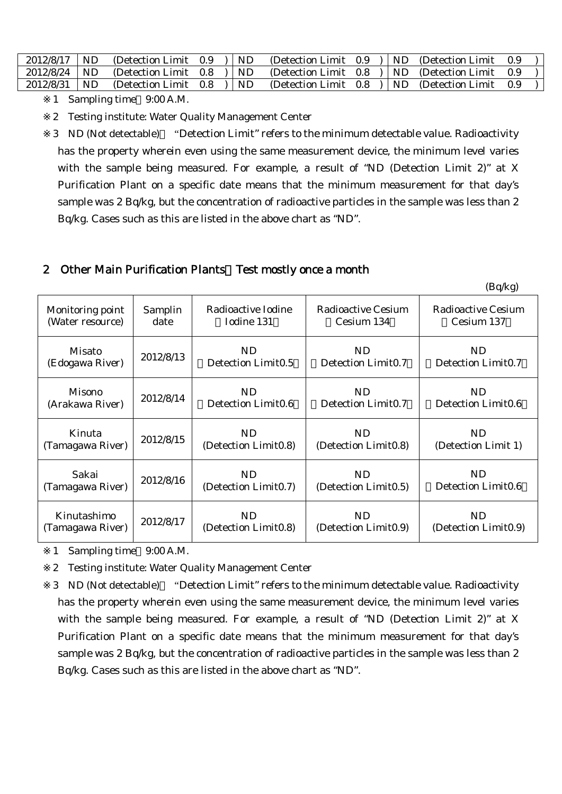| 2012/8/17 | ND. | (Detection Limit $0.9$ )    |  | <b>ND</b> | (Detection Limit $0.9$ )   ND (Detection Limit) |  |  | - 0.9 |  |
|-----------|-----|-----------------------------|--|-----------|-------------------------------------------------|--|--|-------|--|
| 2012/8/24 | ND. | (Detection Limit $0.8$ ) ND |  |           | (Detection Limit $0.8$ )   ND (Detection Limit  |  |  | 09    |  |
| 2012/8/31 | ND. | (Detection Limit $0.8$ ) ND |  |           | (Detection Limit $0.8$ )   ND (Detection Limit  |  |  | - 0.9 |  |

<sup>1</sup> Sampling time 9:00 A.M.

2 Testing institute: Water Quality Management Center

3 ND (Not detectable) "Detection Limit" refers to the minimum detectable value. Radioactivity has the property wherein even using the same measurement device, the minimum level varies with the sample being measured. For example, a result of "ND (Detection Limit 2)" at X Purification Plant on a specific date means that the minimum measurement for that day's sample was 2 Bq/kg, but the concentration of radioactive particles in the sample was less than 2 Bq/kg. Cases such as this are listed in the above chart as "ND".

#### 2 Other Main Purification Plants Test mostly once a month

|                  |           |                                |                      | (Bq/kg)                        |
|------------------|-----------|--------------------------------|----------------------|--------------------------------|
| Monitoring point | Samplin   | Radioactive Iodine             | Radioactive Cesium   | Radioactive Cesium             |
| (Water resource) | date      | Iodine 131                     | Cesium 134           | Cesium 137                     |
| Misato           | 2012/8/13 | ND                             | <b>ND</b>            | ND                             |
| (Edogawa River)  |           | Detection Limit <sub>0.5</sub> | Detection Limit0.7   | Detection Limit0.7             |
| Misono           | 2012/8/14 | <b>ND</b>                      | ND                   | <b>ND</b>                      |
| (Arakawa River)  |           | Detection Limit0.6             | Detection Limit0.7   | Detection Limit <sub>0.6</sub> |
| Kinuta           | 2012/8/15 | ND                             | ND                   | ND.                            |
| (Tamagawa River) |           | (Detection Limit0.8)           | (Detection Limit0.8) | (Detection Limit 1)            |
| Sakai            | 2012/8/16 | <b>ND</b>                      | <b>ND</b>            | <b>ND</b>                      |
| (Tamagawa River) |           | (Detection Limit0.7)           | (Detection Limit0.5) | Detection Limit <sub>0.6</sub> |
| Kinutashimo      | 2012/8/17 | <b>ND</b>                      | <b>ND</b>            | <b>ND</b>                      |
| (Tamagawa River) |           | (Detection Limit0.8)           | (Detection Limit0.9) | (Detection Limit0.9)           |

1 Sampling time 9:00 A.M.

2 Testing institute: Water Quality Management Center

3 ND (Not detectable) "Detection Limit" refers to the minimum detectable value. Radioactivity has the property wherein even using the same measurement device, the minimum level varies with the sample being measured. For example, a result of "ND (Detection Limit 2)" at X Purification Plant on a specific date means that the minimum measurement for that day's sample was 2 Bq/kg, but the concentration of radioactive particles in the sample was less than 2 Bq/kg. Cases such as this are listed in the above chart as "ND".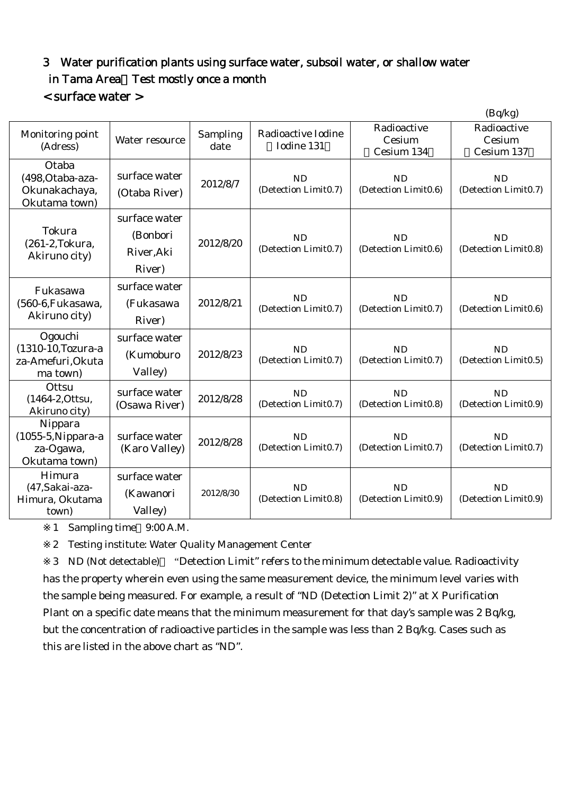# 3 Water purification plants using surface water, subsoil water, or shallow water in Tama Area Test mostly once a month

### < surface water >

|                                                                |                                                   |                  |                                   |                                     | (Bq/kg)                             |
|----------------------------------------------------------------|---------------------------------------------------|------------------|-----------------------------------|-------------------------------------|-------------------------------------|
| Monitoring point<br>(Adress)                                   | Water resource                                    | Sampling<br>date | Radioactive Iodine<br>Iodine 131  | Radioactive<br>Cesium<br>Cesium 134 | Radioactive<br>Cesium<br>Cesium 137 |
| Otaba<br>(498, Otaba-aza-<br>Okunakachaya,<br>Okutama town)    | surface water<br>(Otaba River)                    | 2012/8/7         | <b>ND</b><br>(Detection Limit0.7) | <b>ND</b><br>(Detection Limit0.6)   | <b>ND</b><br>(Detection Limit0.7)   |
| Tokura<br>(261-2, Tokura,<br>Akiruno city)                     | surface water<br>(Bonbori<br>River, Aki<br>River) | 2012/8/20        | <b>ND</b><br>(Detection Limit0.7) | <b>ND</b><br>(Detection Limit0.6)   | <b>ND</b><br>(Detection Limit0.8)   |
| Fukasawa<br>(560-6, Fukasawa,<br>Akiruno city)                 | surface water<br>(Fukasawa<br>River)              | 2012/8/21        | <b>ND</b><br>(Detection Limit0.7) | <b>ND</b><br>(Detection Limit0.7)   | <b>ND</b><br>(Detection Limit0.6)   |
| Ogouchi<br>(1310-10, Tozura-a<br>za-Amefuri, Okuta<br>ma town) | surface water<br>(Kumoburo<br>Valley)             | 2012/8/23        | <b>ND</b><br>(Detection Limit0.7) | <b>ND</b><br>(Detection Limit0.7)   | <b>ND</b><br>(Detection Limit0.5)   |
| Ottsu<br>(1464-2, Ottsu,<br>Akiruno city)                      | surface water<br>(Osawa River)                    | 2012/8/28        | <b>ND</b><br>(Detection Limit0.7) | <b>ND</b><br>(Detection Limit0.8)   | <b>ND</b><br>(Detection Limit0.9)   |
| Nippara<br>$(1055-5)$ Nippara-a<br>za-Ogawa,<br>Okutama town)  | surface water<br>(Karo Valley)                    | 2012/8/28        | <b>ND</b><br>(Detection Limit0.7) | <b>ND</b><br>(Detection Limit0.7)   | <b>ND</b><br>(Detection Limit0.7)   |
| Himura<br>(47, Sakai-aza-<br>Himura, Okutama<br>town)          | surface water<br>(Kawanori<br>Valley)             | 2012/8/30        | <b>ND</b><br>(Detection Limit0.8) | <b>ND</b><br>(Detection Limit0.9)   | <b>ND</b><br>(Detection Limit0.9)   |

1 Sampling time 9:00 A.M.

2 Testing institute: Water Quality Management Center

3 ND (Not detectable) "Detection Limit" refers to the minimum detectable value. Radioactivity has the property wherein even using the same measurement device, the minimum level varies with the sample being measured. For example, a result of "ND (Detection Limit 2)" at X Purification Plant on a specific date means that the minimum measurement for that day's sample was 2 Bq/kg, but the concentration of radioactive particles in the sample was less than 2 Bq/kg. Cases such as this are listed in the above chart as "ND".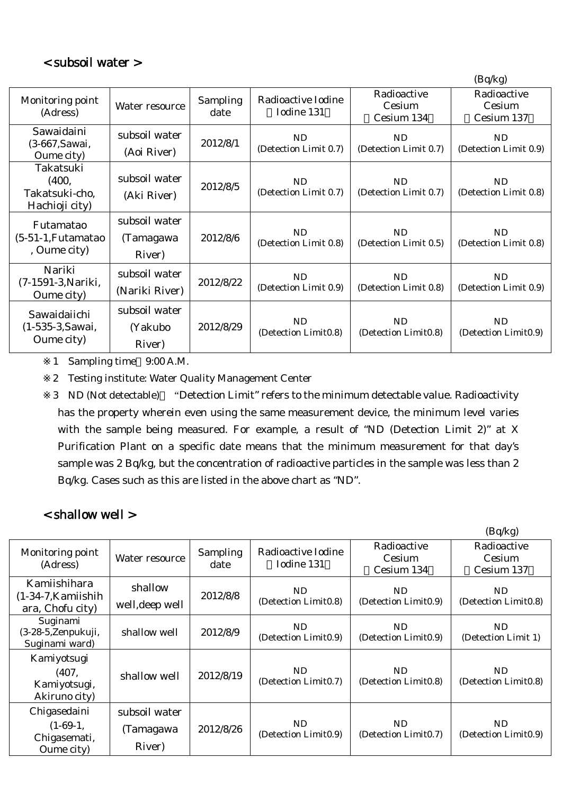|                                                            |                                      |                  |                                    |                                         | (Bq/kg)                                 |
|------------------------------------------------------------|--------------------------------------|------------------|------------------------------------|-----------------------------------------|-----------------------------------------|
| Monitoring point<br>(Adress)                               | Water resource                       | Sampling<br>date | Radioactive Iodine<br>Iodine 131   | Radioactive<br>Cesium<br>Cesium 134     | Radioactive<br>Cesium<br>Cesium 137     |
| Sawaidaini<br>(3-667, Sawai,<br>Oume city)                 | subsoil water<br>(Aoi River)         | 2012/8/1         | <b>ND</b><br>(Detection Limit 0.7) | <b>ND</b><br>(Detection Limit 0.7)      | ND<br>(Detection Limit 0.9)             |
| Takatsuki<br>(400,<br>Takatsuki-cho,<br>Hachioji city)     | subsoil water<br>(Aki River)         | 2012/8/5         | ND<br>(Detection Limit 0.7)        | ND.<br>(Detection Limit 0.7)            | ND<br>(Detection Limit 0.8)             |
| <b>Futamatao</b><br>$(5-51-1)$ , Futamatao<br>, Oume city) | subsoil water<br>(Tamagawa<br>River) | 2012/8/6         | ND<br>(Detection Limit 0.8)        | N <sub>D</sub><br>(Detection Limit 0.5) | N <sub>D</sub><br>(Detection Limit 0.8) |
| Nariki<br>(7-1591-3, Nariki,<br>Oume city)                 | subsoil water<br>(Nariki River)      | 2012/8/22        | ND<br>(Detection Limit 0.9)        | ND.<br>(Detection Limit 0.8)            | N <sub>D</sub><br>(Detection Limit 0.9) |
| Sawaidaiichi<br>(1-535-3, Sawai,<br>Oume city)             | subsoil water<br>(Yakubo<br>River)   | 2012/8/29        | ND<br>(Detection Limit0.8)         | ND<br>(Detection Limit0.8)              | ND<br>(Detection Limit0.9)              |

1 Sampling time 9:00 A.M.

2 Testing institute: Water Quality Management Center

3 ND (Not detectable) "Detection Limit" refers to the minimum detectable value. Radioactivity has the property wherein even using the same measurement device, the minimum level varies with the sample being measured. For example, a result of "ND (Detection Limit 2)" at X Purification Plant on a specific date means that the minimum measurement for that day's sample was 2 Bq/kg, but the concentration of radioactive particles in the sample was less than 2 Bq/kg. Cases such as this are listed in the above chart as "ND".

## < shallow well >

|                                                            |                                      |                  |                                  |                                     | (Bq/kg)                             |
|------------------------------------------------------------|--------------------------------------|------------------|----------------------------------|-------------------------------------|-------------------------------------|
| Monitoring point<br>(Adress)                               | Water resource                       | Sampling<br>date | Radioactive Iodine<br>Iodine 131 | Radioactive<br>Cesium<br>Cesium 134 | Radioactive<br>Cesium<br>Cesium 137 |
| Kamiishihara<br>$(1-34-7)$ , Kamiishih<br>ara, Chofu city) | shallow<br>well, deep well           | 2012/8/8         | ND<br>(Detection Limit0.8)       | ND.<br>(Detection Limit0.9)         | ND<br>(Detection Limit0.8)          |
| Suginami<br>(3-28-5, Zenpukuji,<br>Suginami ward)          | shallow well                         | 2012/8/9         | ND<br>(Detection Limit0.9)       | ND<br>(Detection Limit0.9)          | ND<br>(Detection Limit 1)           |
| Kamiyotsugi<br>(407,<br>Kamiyotsugi,<br>Akiruno city)      | shallow well                         | 2012/8/19        | ND<br>(Detection Limit0.7)       | ND<br>(Detection Limit0.8)          | ND<br>(Detection Limit0.8)          |
| Chigasedaini<br>$(1-69-1,$<br>Chigasemati,<br>Oume city)   | subsoil water<br>(Tamagawa<br>River) | 2012/8/26        | ND<br>(Detection Limit0.9)       | ND<br>(Detection Limit0.7)          | ND<br>(Detection Limit0.9)          |